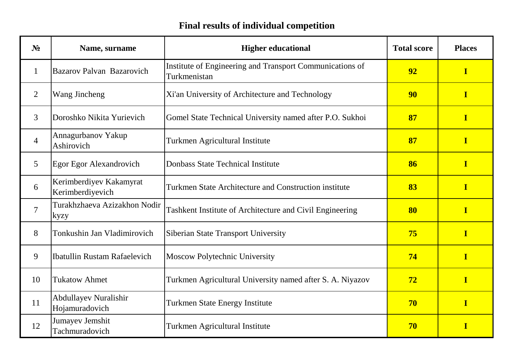## **Final results of individual competition**

| $N_2$          | Name, surname                               | <b>Higher educational</b>                                                | <b>Total score</b> | <b>Places</b>           |
|----------------|---------------------------------------------|--------------------------------------------------------------------------|--------------------|-------------------------|
| 1              | Bazarov Palvan Bazarovich                   | Institute of Engineering and Transport Communications of<br>Turkmenistan | 92                 | $\overline{\mathbf{I}}$ |
| 2              | Wang Jincheng                               | Xi'an University of Architecture and Technology                          | 90                 | $\bf{I}$                |
| $\overline{3}$ | Doroshko Nikita Yurievich                   | Gomel State Technical University named after P.O. Sukhoi                 | 87                 | $\mathbf I$             |
| $\overline{4}$ | Annagurbanov Yakup<br>Ashirovich            | <b>Turkmen Agricultural Institute</b>                                    | 87                 | $\overline{\mathbf{I}}$ |
| 5              | Egor Egor Alexandrovich                     | <b>Donbass State Technical Institute</b>                                 | 86                 | $\bf{I}$                |
| 6              | Kerimberdiyev Kakamyrat<br>Kerimberdiyevich | Turkmen State Architecture and Construction institute                    | 83                 | $\bf{I}$                |
| $\overline{7}$ | Turakhzhaeva Azizakhon Nodir<br>kyzy        | Tashkent Institute of Architecture and Civil Engineering                 | 80                 | $\overline{\mathbf{I}}$ |
| 8              | Tonkushin Jan Vladimirovich                 | Siberian State Transport University                                      | 75                 | $\overline{\mathbf{I}}$ |
| 9              | Ibatullin Rustam Rafaelevich                | Moscow Polytechnic University                                            | 74                 | $\mathbf I$             |
| 10             | <b>Tukatow Ahmet</b>                        | Turkmen Agricultural University named after S. A. Niyazov                | 72                 | I                       |
| 11             | Abdullayev Nuralishir<br>Hojamuradovich     | <b>Turkmen State Energy Institute</b>                                    | 70                 | $\overline{\mathbf{I}}$ |
| 12             | Jumayev Jemshit<br>Tachmuradovich           | Turkmen Agricultural Institute                                           | 70                 | $\mathbf I$             |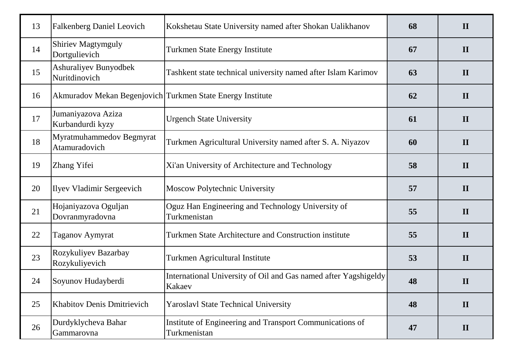| 13 | <b>Falkenberg Daniel Leovich</b>                           | Kokshetau State University named after Shokan Ualikhanov                  | 68 | $\mathbf{I}$ |
|----|------------------------------------------------------------|---------------------------------------------------------------------------|----|--------------|
| 14 | <b>Shiriev Magtymguly</b><br>Dortgulievich                 | <b>Turkmen State Energy Institute</b>                                     | 67 | $\mathbf{I}$ |
| 15 | Ashuraliyev Bunyodbek<br>Nuritdinovich                     | Tashkent state technical university named after Islam Karimov             | 63 | $\mathbf{I}$ |
| 16 | Akmuradov Mekan Begenjovich Turkmen State Energy Institute |                                                                           | 62 | $\mathbf{I}$ |
| 17 | Jumaniyazova Aziza<br>Kurbandurdi kyzy                     | <b>Urgench State University</b>                                           | 61 | $\mathbf{I}$ |
| 18 | Myratmuhammedov Begmyrat<br>Atamuradovich                  | Turkmen Agricultural University named after S. A. Niyazov                 | 60 | $\mathbf{I}$ |
| 19 | Zhang Yifei                                                | Xi'an University of Architecture and Technology                           | 58 | $\mathbf{I}$ |
| 20 | <b>Ilyev Vladimir Sergeevich</b>                           | Moscow Polytechnic University                                             | 57 | $\mathbf{I}$ |
| 21 | Hojaniyazova Oguljan<br>Dovranmyradovna                    | Oguz Han Engineering and Technology University of<br>Turkmenistan         | 55 | $\mathbf{I}$ |
| 22 | Taganov Aymyrat                                            | Turkmen State Architecture and Construction institute                     | 55 | $\mathbf{I}$ |
| 23 | Rozykuliyev Bazarbay<br>Rozykuliyevich                     | Turkmen Agricultural Institute                                            | 53 | $\mathbf{I}$ |
| 24 | Soyunov Hudayberdi                                         | International University of Oil and Gas named after Yagshigeldy<br>Kakaev | 48 | $\mathbf{I}$ |
| 25 | <b>Khabitov Denis Dmitrievich</b>                          | <b>Yaroslavl State Technical University</b>                               | 48 | $\mathbf{I}$ |
| 26 | Durdyklycheva Bahar<br>Gammarovna                          | Institute of Engineering and Transport Communications of<br>Turkmenistan  | 47 | $\mathbf{I}$ |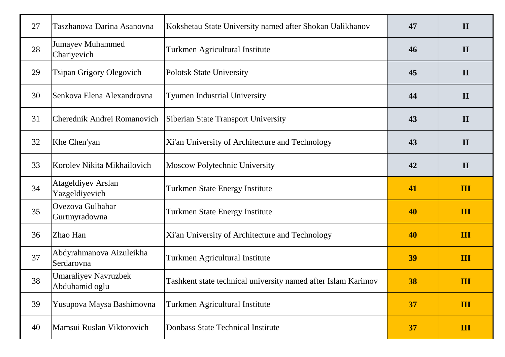| 27 | Taszhanova Darina Asanovna                    | Kokshetau State University named after Shokan Ualikhanov      | 47 | $\mathbf{I}$   |
|----|-----------------------------------------------|---------------------------------------------------------------|----|----------------|
| 28 | <b>Jumayev Muhammed</b><br>Chariyevich        | Turkmen Agricultural Institute                                | 46 | $\mathbf{I}$   |
| 29 | <b>Tsipan Grigory Olegovich</b>               | <b>Polotsk State University</b>                               | 45 | $\mathbf{I}$   |
| 30 | Senkova Elena Alexandrovna                    | <b>Tyumen Industrial University</b>                           | 44 | $\mathbf{I}$   |
| 31 | Cherednik Andrei Romanovich                   | Siberian State Transport University                           | 43 | $\mathbf{I}$   |
| 32 | Khe Chen'yan                                  | Xi'an University of Architecture and Technology               | 43 | $\mathbf{I}$   |
| 33 | Korolev Nikita Mikhailovich                   | Moscow Polytechnic University                                 | 42 | $\mathbf{I}$   |
| 34 | <b>Atageldiyev Arslan</b><br>Yazgeldiyevich   | <b>Turkmen State Energy Institute</b>                         | 41 | III            |
| 35 | Ovezova Gulbahar<br>Gurtmyradowna             | <b>Turkmen State Energy Institute</b>                         | 40 | III            |
| 36 | Zhao Han                                      | Xi'an University of Architecture and Technology               | 40 | $\mathbf{III}$ |
| 37 | Abdyrahmanova Aizuleikha<br>Serdarovna        | Turkmen Agricultural Institute                                | 39 | $\mathbf{III}$ |
| 38 | <b>Umaraliyev Navruzbek</b><br>Abduhamid oglu | Tashkent state technical university named after Islam Karimov | 38 | III            |
| 39 | Yusupova Maysa Bashimovna                     | Turkmen Agricultural Institute                                | 37 | III            |
| 40 | Mamsui Ruslan Viktorovich                     | Donbass State Technical Institute                             | 37 | $\mathbf{III}$ |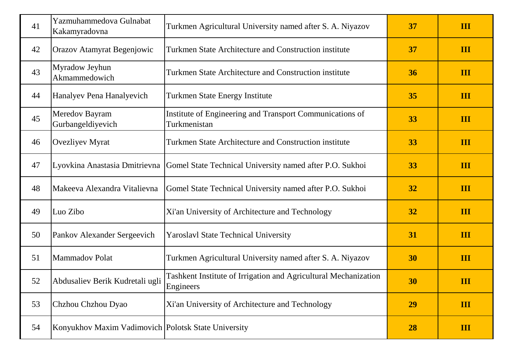| 41 | Yazmuhammedova Gulnabat<br>Kakamyradovna            | Turkmen Agricultural University named after S. A. Niyazov                    | 37 | III            |
|----|-----------------------------------------------------|------------------------------------------------------------------------------|----|----------------|
| 42 | Orazov Atamyrat Begenjowic                          | Turkmen State Architecture and Construction institute                        | 37 | III            |
| 43 | Myradow Jeyhun<br>Akmammedowich                     | Turkmen State Architecture and Construction institute                        | 36 | III            |
| 44 | Hanalyev Pena Hanalyevich                           | <b>Turkmen State Energy Institute</b>                                        | 35 | III            |
| 45 | Meredov Bayram<br>Gurbangeldiyevich                 | Institute of Engineering and Transport Communications of<br>Turkmenistan     | 33 | III            |
| 46 | <b>Ovezliyev Myrat</b>                              | Turkmen State Architecture and Construction institute                        | 33 | III            |
| 47 | Lyovkina Anastasia Dmitrievna                       | Gomel State Technical University named after P.O. Sukhoi                     | 33 | III            |
| 48 | Makeeva Alexandra Vitalievna                        | Gomel State Technical University named after P.O. Sukhoi                     | 32 | III            |
| 49 | Luo Zibo                                            | Xi'an University of Architecture and Technology                              | 32 | III            |
| 50 | Pankov Alexander Sergeevich                         | <b>Yaroslavl State Technical University</b>                                  | 31 | III            |
| 51 | <b>Mammadov Polat</b>                               | Turkmen Agricultural University named after S. A. Niyazov                    | 30 | III            |
| 52 | Abdusaliev Berik Kudretali ugli                     | Tashkent Institute of Irrigation and Agricultural Mechanization<br>Engineers | 30 | $\mathbf{III}$ |
| 53 | Chzhou Chzhou Dyao                                  | Xi'an University of Architecture and Technology                              | 29 | III            |
| 54 | Konyukhov Maxim Vadimovich Polotsk State University |                                                                              | 28 | III            |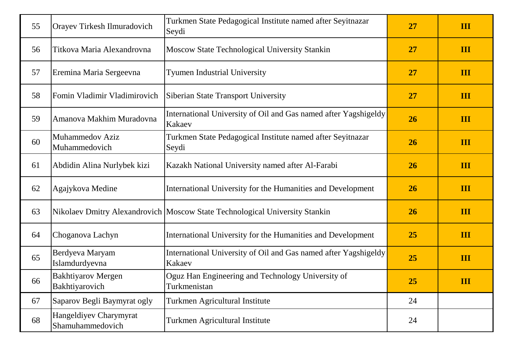| 55 | Orayev Tirkesh Ilmuradovich                 | Turkmen State Pedagogical Institute named after Seyitnazar<br>Seydi         | 27 | III |
|----|---------------------------------------------|-----------------------------------------------------------------------------|----|-----|
| 56 | Titkova Maria Alexandrovna                  | Moscow State Technological University Stankin                               | 27 | III |
| 57 | Eremina Maria Sergeevna                     | <b>Tyumen Industrial University</b>                                         | 27 | III |
| 58 | Fomin Vladimir Vladimirovich                | Siberian State Transport University                                         | 27 | III |
| 59 | Amanova Makhim Muradovna                    | International University of Oil and Gas named after Yagshigeldy<br>Kakaev   | 26 | III |
| 60 | <b>Muhammedov Aziz</b><br>Muhammedovich     | Turkmen State Pedagogical Institute named after Seyitnazar<br>Seydi         | 26 | III |
| 61 | Abdidin Alina Nurlybek kizi                 | Kazakh National University named after Al-Farabi                            | 26 | III |
| 62 | Agajykova Medine                            | International University for the Humanities and Development                 | 26 | III |
| 63 |                                             | Nikolaev Dmitry Alexandrovich Moscow State Technological University Stankin | 26 | III |
| 64 | Choganova Lachyn                            | International University for the Humanities and Development                 | 25 | III |
| 65 | Berdyeva Maryam<br>Islamdurdyevna           | International University of Oil and Gas named after Yagshigeldy<br>Kakaev   | 25 | III |
| 66 | <b>Bakhtiyarov Mergen</b><br>Bakhtiyarovich | Oguz Han Engineering and Technology University of<br>Turkmenistan           | 25 | III |
| 67 | Saparov Begli Baymyrat ogly                 | Turkmen Agricultural Institute                                              | 24 |     |
| 68 | Hangeldiyev Charymyrat<br>Shamuhammedovich  | Turkmen Agricultural Institute                                              | 24 |     |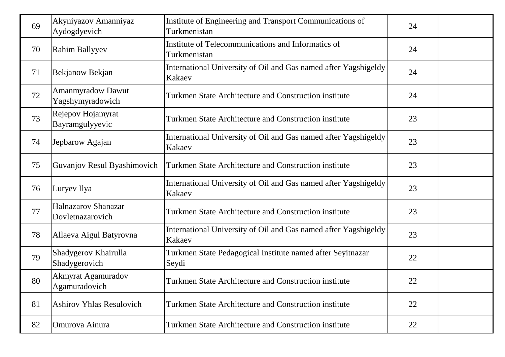| 69 | Akyniyazov Amanniyaz<br>Aydogdyevich         | Institute of Engineering and Transport Communications of<br>Turkmenistan  | 24 |  |
|----|----------------------------------------------|---------------------------------------------------------------------------|----|--|
| 70 | <b>Rahim Ballyyev</b>                        | Institute of Telecommunications and Informatics of<br>Turkmenistan        | 24 |  |
| 71 | Bekjanow Bekjan                              | International University of Oil and Gas named after Yagshigeldy<br>Kakaev | 24 |  |
| 72 | <b>Amanmyradow Dawut</b><br>Yagshymyradowich | Turkmen State Architecture and Construction institute                     | 24 |  |
| 73 | Rejepov Hojamyrat<br>Bayramgulyyevic         | Turkmen State Architecture and Construction institute                     | 23 |  |
| 74 | Jepbarow Agajan                              | International University of Oil and Gas named after Yagshigeldy<br>Kakaev | 23 |  |
| 75 | Guvanjov Resul Byashimovich                  | Turkmen State Architecture and Construction institute                     | 23 |  |
| 76 | Luryev Ilya                                  | International University of Oil and Gas named after Yagshigeldy<br>Kakaev | 23 |  |
| 77 | Halnazarov Shanazar<br>Dovletnazarovich      | Turkmen State Architecture and Construction institute                     | 23 |  |
| 78 | Allaeva Aigul Batyrovna                      | International University of Oil and Gas named after Yagshigeldy<br>Kakaev | 23 |  |
| 79 | Shadygerov Khairulla<br>Shadygerovich        | Turkmen State Pedagogical Institute named after Seyitnazar<br>Seydi       | 22 |  |
| 80 | <b>Akmyrat Agamuradov</b><br>Agamuradovich   | Turkmen State Architecture and Construction institute                     | 22 |  |
| 81 | <b>Ashirov Yhlas Resulovich</b>              | Turkmen State Architecture and Construction institute                     | 22 |  |
| 82 | Omurova Ainura                               | Turkmen State Architecture and Construction institute                     | 22 |  |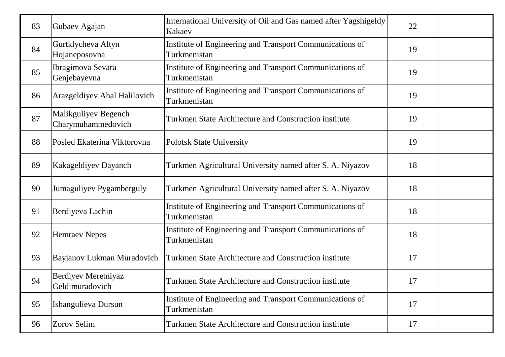| 83 | Gubaev Agajan                              | International University of Oil and Gas named after Yagshigeldy<br>Kakaev | 22 |  |
|----|--------------------------------------------|---------------------------------------------------------------------------|----|--|
| 84 | Gurtklycheva Altyn<br>Hojaneposovna        | Institute of Engineering and Transport Communications of<br>Turkmenistan  | 19 |  |
| 85 | Ibragimova Sevara<br>Genjebayevna          | Institute of Engineering and Transport Communications of<br>Turkmenistan  | 19 |  |
| 86 | Arazgeldiyev Ahal Halilovich               | Institute of Engineering and Transport Communications of<br>Turkmenistan  | 19 |  |
| 87 | Malikguliyev Begench<br>Charymuhammedovich | Turkmen State Architecture and Construction institute                     | 19 |  |
| 88 | Posled Ekaterina Viktorovna                | <b>Polotsk State University</b>                                           | 19 |  |
| 89 | Kakageldiyev Dayanch                       | Turkmen Agricultural University named after S. A. Niyazov                 | 18 |  |
| 90 | Jumaguliyev Pygamberguly                   | Turkmen Agricultural University named after S. A. Niyazov                 | 18 |  |
| 91 | Berdiyeva Lachin                           | Institute of Engineering and Transport Communications of<br>Turkmenistan  | 18 |  |
| 92 | <b>Hemraev Nepes</b>                       | Institute of Engineering and Transport Communications of<br>Turkmenistan  | 18 |  |
| 93 | Bayjanov Lukman Muradovich                 | Turkmen State Architecture and Construction institute                     | 17 |  |
| 94 | Berdiyev Meretniyaz<br>Geldimuradovich     | Turkmen State Architecture and Construction institute                     | 17 |  |
| 95 | Ishangulieva Dursun                        | Institute of Engineering and Transport Communications of<br>Turkmenistan  | 17 |  |
| 96 | Zorov Selim                                | Turkmen State Architecture and Construction institute                     | 17 |  |